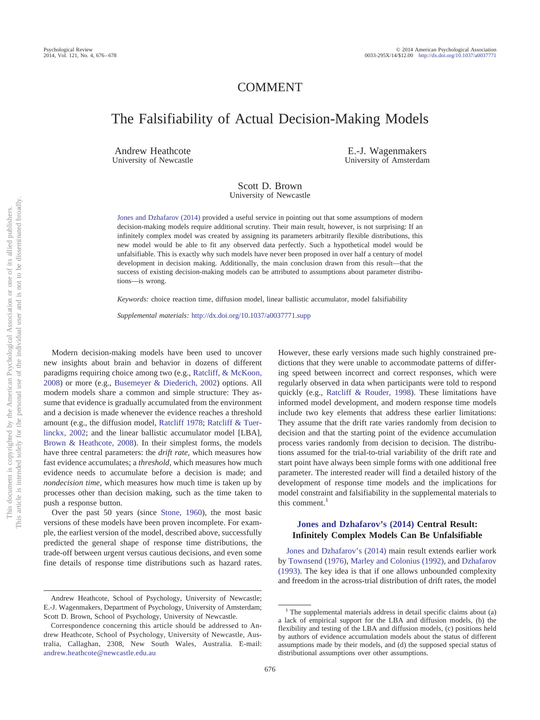## COMMENT

# The Falsifiability of Actual Decision-Making Models

Andrew Heathcote University of Newcastle

E.-J. Wagenmakers University of Amsterdam

#### Scott D. Brown University of Newcastle

[Jones and Dzhafarov \(2014\)](#page-2-0) provided a useful service in pointing out that some assumptions of modern decision-making models require additional scrutiny. Their main result, however, is not surprising: If an infinitely complex model was created by assigning its parameters arbitrarily flexible distributions, this new model would be able to fit any observed data perfectly. Such a hypothetical model would be unfalsifiable. This is exactly why such models have never been proposed in over half a century of model development in decision making. Additionally, the main conclusion drawn from this result—that the success of existing decision-making models can be attributed to assumptions about parameter distributions—is wrong.

*Keywords:* choice reaction time, diffusion model, linear ballistic accumulator, model falsifiability

*Supplemental materials:* http://dx.doi.org[/10.1037/a0037771.supp](http://dx.doi.org/10.1037/a0037771.supp)

Modern decision-making models have been used to uncover new insights about brain and behavior in dozens of different paradigms requiring choice among two (e.g., [Ratcliff, & McKoon,](#page-2-1) [2008\)](#page-2-1) or more (e.g., [Busemeyer & Diederich, 2002\)](#page-2-2) options. All modern models share a common and simple structure: They assume that evidence is gradually accumulated from the environment and a decision is made whenever the evidence reaches a threshold amount (e.g., the diffusion model, [Ratcliff 1978;](#page-2-3) [Ratcliff & Tuer](#page-2-4)[linckx, 2002;](#page-2-4) and the linear ballistic accumulator model [LBA], [Brown & Heathcote, 2008\)](#page-2-5). In their simplest forms, the models have three central parameters: the *drift rate,* which measures how fast evidence accumulates; a *threshold,* which measures how much evidence needs to accumulate before a decision is made; and *nondecision time,* which measures how much time is taken up by processes other than decision making, such as the time taken to push a response button.

Over the past 50 years (since [Stone, 1960\)](#page-2-6), the most basic versions of these models have been proven incomplete. For example, the earliest version of the model, described above, successfully predicted the general shape of response time distributions, the trade-off between urgent versus cautious decisions, and even some fine details of response time distributions such as hazard rates. However, these early versions made such highly constrained predictions that they were unable to accommodate patterns of differing speed between incorrect and correct responses, which were regularly observed in data when participants were told to respond quickly (e.g., [Ratcliff & Rouder, 1998\)](#page-2-7). These limitations have informed model development, and modern response time models include two key elements that address these earlier limitations: They assume that the drift rate varies randomly from decision to decision and that the starting point of the evidence accumulation process varies randomly from decision to decision. The distributions assumed for the trial-to-trial variability of the drift rate and start point have always been simple forms with one additional free parameter. The interested reader will find a detailed history of the development of response time models and the implications for model constraint and falsifiability in the supplemental materials to this comment $<sup>1</sup>$ </sup>

## **[Jones and Dzhafarov's \(2014\)](#page-2-0) Central Result: Infinitely Complex Models Can Be Unfalsifiable**

[Jones and Dzhafarov's \(2014\)](#page-2-0) main result extends earlier work by [Townsend \(1976\),](#page-2-8) [Marley and Colonius \(1992\),](#page-2-9) and [Dzhafarov](#page-2-10) [\(1993\).](#page-2-10) The key idea is that if one allows unbounded complexity and freedom in the across-trial distribution of drift rates, the model

Andrew Heathcote, School of Psychology, University of Newcastle; E.-J. Wagenmakers, Department of Psychology, University of Amsterdam; Scott D. Brown, School of Psychology, University of Newcastle.

Correspondence concerning this article should be addressed to Andrew Heathcote, School of Psychology, University of Newcastle, Australia, Callaghan, 2308, New South Wales, Australia. E-mail: [andrew.heathcote@newcastle.edu.au](mailto:andrew.heathcote@newcastle.edu.au)

 $1$ <sup>1</sup> The supplemental materials address in detail specific claims about (a) a lack of empirical support for the LBA and diffusion models, (b) the flexibility and testing of the LBA and diffusion models, (c) positions held by authors of evidence accumulation models about the status of different assumptions made by their models, and (d) the supposed special status of distributional assumptions over other assumptions.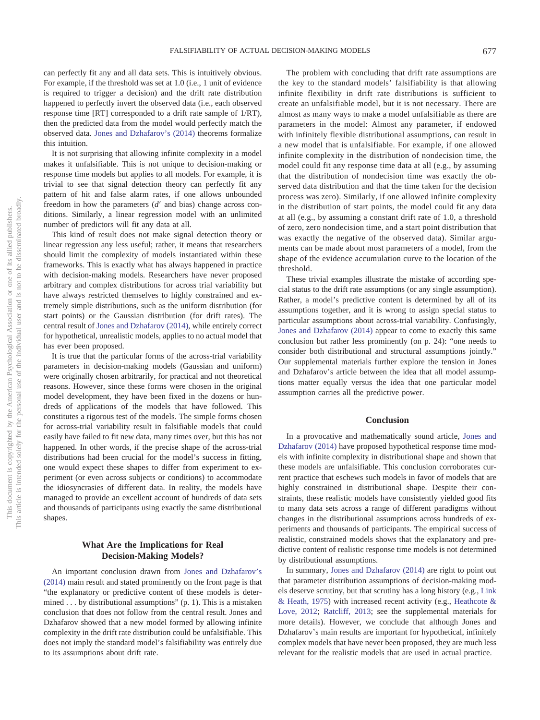can perfectly fit any and all data sets. This is intuitively obvious. For example, if the threshold was set at 1.0 (i.e., 1 unit of evidence is required to trigger a decision) and the drift rate distribution happened to perfectly invert the observed data (i.e., each observed response time [RT] corresponded to a drift rate sample of 1/RT), then the predicted data from the model would perfectly match the observed data. [Jones and Dzhafarov's \(2014\)](#page-2-0) theorems formalize this intuition.

It is not surprising that allowing infinite complexity in a model makes it unfalsifiable. This is not unique to decision-making or response time models but applies to all models. For example, it is trivial to see that signal detection theory can perfectly fit any pattern of hit and false alarm rates, if one allows unbounded freedom in how the parameters (d' and bias) change across conditions. Similarly, a linear regression model with an unlimited number of predictors will fit any data at all.

This kind of result does not make signal detection theory or linear regression any less useful; rather, it means that researchers should limit the complexity of models instantiated within these frameworks. This is exactly what has always happened in practice with decision-making models. Researchers have never proposed arbitrary and complex distributions for across trial variability but have always restricted themselves to highly constrained and extremely simple distributions, such as the uniform distribution (for start points) or the Gaussian distribution (for drift rates). The central result of [Jones and Dzhafarov \(2014\),](#page-2-0) while entirely correct for hypothetical, unrealistic models, applies to no actual model that has ever been proposed.

It is true that the particular forms of the across-trial variability parameters in decision-making models (Gaussian and uniform) were originally chosen arbitrarily, for practical and not theoretical reasons. However, since these forms were chosen in the original model development, they have been fixed in the dozens or hundreds of applications of the models that have followed. This constitutes a rigorous test of the models. The simple forms chosen for across-trial variability result in falsifiable models that could easily have failed to fit new data, many times over, but this has not happened. In other words, if the precise shape of the across-trial distributions had been crucial for the model's success in fitting, one would expect these shapes to differ from experiment to experiment (or even across subjects or conditions) to accommodate the idiosyncrasies of different data. In reality, the models have managed to provide an excellent account of hundreds of data sets and thousands of participants using exactly the same distributional shapes.

### **What Are the Implications for Real Decision-Making Models?**

An important conclusion drawn from [Jones and Dzhafarov's](#page-2-0) [\(2014\)](#page-2-0) main result and stated prominently on the front page is that "the explanatory or predictive content of these models is determined . . . by distributional assumptions" (p. 1). This is a mistaken conclusion that does not follow from the central result. Jones and Dzhafarov showed that a new model formed by allowing infinite complexity in the drift rate distribution could be unfalsifiable. This does not imply the standard model's falsifiability was entirely due to its assumptions about drift rate.

The problem with concluding that drift rate assumptions are the key to the standard models' falsifiability is that allowing infinite flexibility in drift rate distributions is sufficient to create an unfalsifiable model, but it is not necessary. There are almost as many ways to make a model unfalsifiable as there are parameters in the model: Almost any parameter, if endowed with infinitely flexible distributional assumptions, can result in a new model that is unfalsifiable. For example, if one allowed infinite complexity in the distribution of nondecision time, the model could fit any response time data at all (e.g., by assuming that the distribution of nondecision time was exactly the observed data distribution and that the time taken for the decision process was zero). Similarly, if one allowed infinite complexity in the distribution of start points, the model could fit any data at all (e.g., by assuming a constant drift rate of 1.0, a threshold of zero, zero nondecision time, and a start point distribution that was exactly the negative of the observed data). Similar arguments can be made about most parameters of a model, from the shape of the evidence accumulation curve to the location of the threshold.

These trivial examples illustrate the mistake of according special status to the drift rate assumptions (or any single assumption). Rather, a model's predictive content is determined by all of its assumptions together, and it is wrong to assign special status to particular assumptions about across-trial variability. Confusingly, [Jones and Dzhafarov \(2014\)](#page-2-0) appear to come to exactly this same conclusion but rather less prominently (on p. 24): "one needs to consider both distributional and structural assumptions jointly." Our supplemental materials further explore the tension in Jones and Dzhafarov's article between the idea that all model assumptions matter equally versus the idea that one particular model assumption carries all the predictive power.

#### **Conclusion**

In a provocative and mathematically sound article, [Jones and](#page-2-0) [Dzhafarov \(2014\)](#page-2-0) have proposed hypothetical response time models with infinite complexity in distributional shape and shown that these models are unfalsifiable. This conclusion corroborates current practice that eschews such models in favor of models that are highly constrained in distributional shape. Despite their constraints, these realistic models have consistently yielded good fits to many data sets across a range of different paradigms without changes in the distributional assumptions across hundreds of experiments and thousands of participants. The empirical success of realistic, constrained models shows that the explanatory and predictive content of realistic response time models is not determined by distributional assumptions.

In summary, [Jones and Dzhafarov \(2014\)](#page-2-0) are right to point out that parameter distribution assumptions of decision-making models deserve scrutiny, but that scrutiny has a long history (e.g., [Link](#page-2-11) [& Heath, 1975\)](#page-2-11) with increased recent activity (e.g., [Heathcote &](#page-2-12) [Love, 2012;](#page-2-12) [Ratcliff, 2013;](#page-2-13) see the supplemental materials for more details). However, we conclude that although Jones and Dzhafarov's main results are important for hypothetical, infinitely complex models that have never been proposed, they are much less relevant for the realistic models that are used in actual practice.